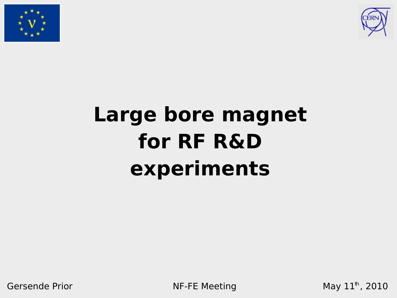



# **Large bore magnet for RF R&D experiments**

Gersende Prior NF-FE Meeting

May  $11^{\text{th}}$ , 2010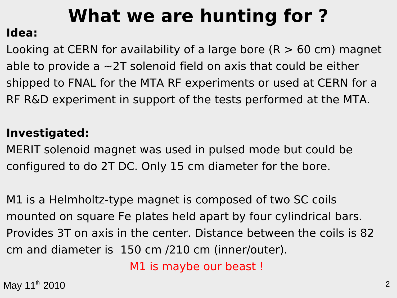# **What we are hunting for ?**

#### **Idea:**

Looking at CERN for availability of a large bore  $(R > 60$  cm) magnet able to provide a  $\sim$  2T solenoid field on axis that could be either shipped to FNAL for the MTA RF experiments or used at CERN for a RF R&D experiment in support of the tests performed at the MTA.

#### **Investigated:**

MERIT solenoid magnet was used in pulsed mode but could be configured to do 2T DC. Only 15 cm diameter for the bore.

M1 is a Helmholtz-type magnet is composed of two SC coils mounted on square Fe plates held apart by four cylindrical bars. Provides 3T on axis in the center. Distance between the coils is 82 cm and diameter is 150 cm /210 cm (inner/outer).

M1 is maybe our beast !

 $\text{May } 11^{\text{th}}$  2010  $\frac{1}{2}$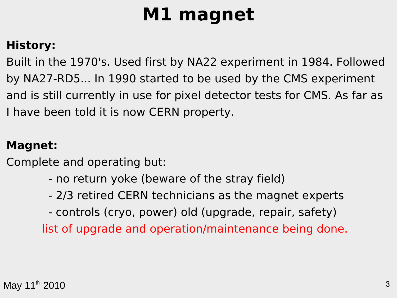## **M1 magnet**

#### **History:**

Built in the 1970's. Used first by NA22 experiment in 1984. Followed by NA27-RD5... In 1990 started to be used by the CMS experiment and is still currently in use for pixel detector tests for CMS. As far as I have been told it is now CERN property.

#### **Magnet:**

Complete and operating but:

- no return yoke (beware of the stray field)
- 2/3 retired CERN technicians as the magnet experts
- controls (cryo, power) old (upgrade, repair, safety)

list of upgrade and operation/maintenance being done.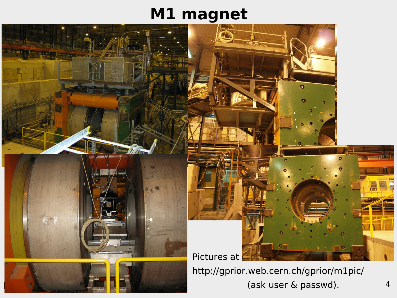### **M1 magnet**



 $\frac{1}{\sqrt{2}}$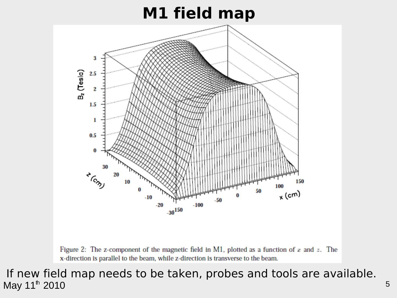### **M1 field map**



Figure 2: The z-component of the magnetic field in M1, plotted as a function of  $x$  and  $z$ . The x-direction is parallel to the beam, while z-direction is transverse to the beam.

May  $11^{\text{th}}$  2010  $\hspace{1.5cm}$  5 If new field map needs to be taken, probes and tools are available.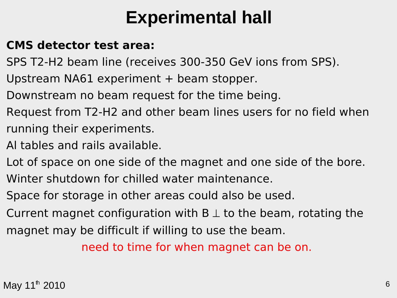## **Experimental hall**

#### **CMS detector test area:**

- SPS T2-H2 beam line (receives 300-350 GeV ions from SPS).
- Upstream NA61 experiment + beam stopper.
- Downstream no beam request for the time being.
- Request from T2-H2 and other beam lines users for no field when running their experiments.
- Al tables and rails available.
- Lot of space on one side of the magnet and one side of the bore.
- Winter shutdown for chilled water maintenance.
- Space for storage in other areas could also be used.
- Current magnet configuration with  $B \perp$  to the beam, rotating the
- magnet may be difficult if willing to use the beam.

need to time for when magnet can be on.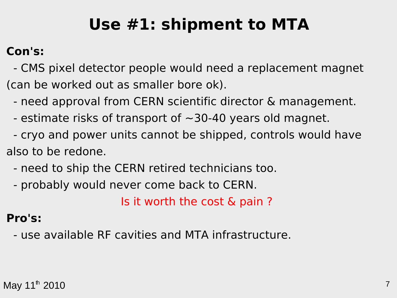## **Use #1: shipment to MTA**

#### **Con's:**

 - CMS pixel detector people would need a replacement magnet (can be worked out as smaller bore ok).

- need approval from CERN scientific director & management.

- estimate risks of transport of  $\sim$ 30-40 years old magnet.
- cryo and power units cannot be shipped, controls would have also to be redone.
	- need to ship the CERN retired technicians too.
	- probably would never come back to CERN.

Is it worth the cost & pain ?

#### **Pro's:**

- use available RF cavities and MTA infrastructure.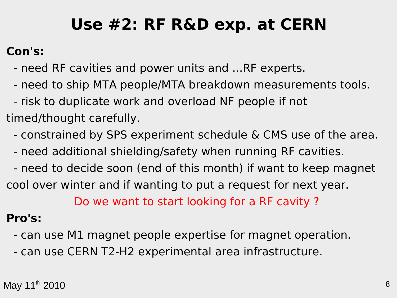## **Use #2: RF R&D exp. at CERN**

#### **Con's:**

- need RF cavities and power units and ...RF experts.
- need to ship MTA people/MTA breakdown measurements tools.
- risk to duplicate work and overload NF people if not
- timed/thought carefully.
	- constrained by SPS experiment schedule & CMS use of the area.
	- need additional shielding/safety when running RF cavities.
- need to decide soon (end of this month) if want to keep magnet cool over winter and if wanting to put a request for next year. Do we want to start looking for a RF cavity ?

#### **Pro's:**

- can use M1 magnet people expertise for magnet operation.
- can use CERN T2-H2 experimental area infrastructure.